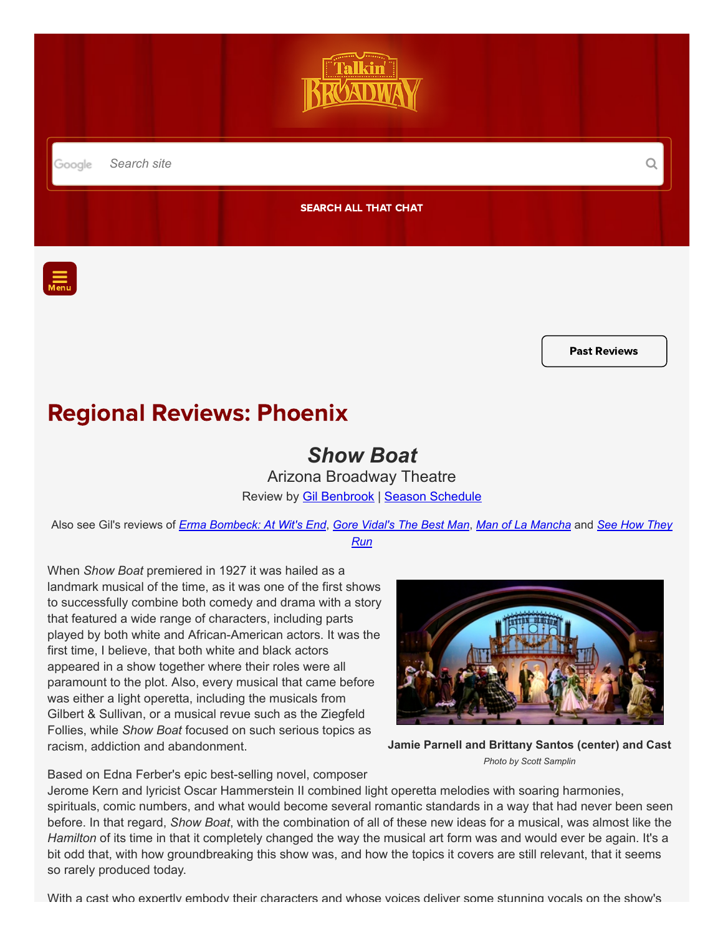

Past [Reviews](https://www.talkinbroadway.com/phoenix)

## Regional Reviews: Phoenix

## Show Boat

Arizona Broadway Theatre Review by **Gil Benbrook | [Season Schedule](https://www.talkinbroadway.com/page/regional/phoenix/sched.html)** 

Also see Gil's reviews of [Erma Bombeck: At Wit's End](https://www.talkinbroadway.com/page/regional/phoenix/phnx578.html), [Gor](https://www.talkinbroadway.com/page/regional/phoenix/phnx577.html)[e Vidal](https://www.talkinbroadway.com/page/regional/phoenix/phnx575.html)['](https://www.talkinbroadway.com/page/regional/phoenix/phnx577.html)[s The Best Man](https://www.talkinbroadway.com/page/regional/phoenix/phnx575.html), [Man of La Mancha](https://www.talkinbroadway.com/page/regional/phoenix/phnx576.html) and See How They Run

When Show Boat premiered in 1927 it was hailed as a landmark musical of the time, as it was one of the first shows to successfully combine both comedy and drama with a story that featured a wide range of characters, including parts played by both white and African-American actors. It was the first time, I believe, that both white and black actors appeared in a show together where their roles were all paramount to the plot. Also, every musical that came before was either a light operetta, including the musicals from Gilbert & Sullivan, or a musical revue such as the Ziegfeld Follies, while Show Boat focused on such serious topics as racism, addiction and abandonment.



Jamie Parnell and Brittany Santos (center) and Cast Photo by Scott Samplin

Based on Edna Ferber's epic best-selling novel, composer

Jerome Kern and lyricist Oscar Hammerstein II combined light operetta melodies with soaring harmonies, spirituals, comic numbers, and what would become several romantic standards in a way that had never been seen before. In that regard, Show Boat, with the combination of all of these new ideas for a musical, was almost like the Hamilton of its time in that it completely changed the way the musical art form was and would ever be again. It's a bit odd that, with how groundbreaking this show was, and how the topics it covers are still relevant, that it seems so rarely produced today.

With a cast who expertly embody their characters and whose voices deliver some stunning vocals on the show's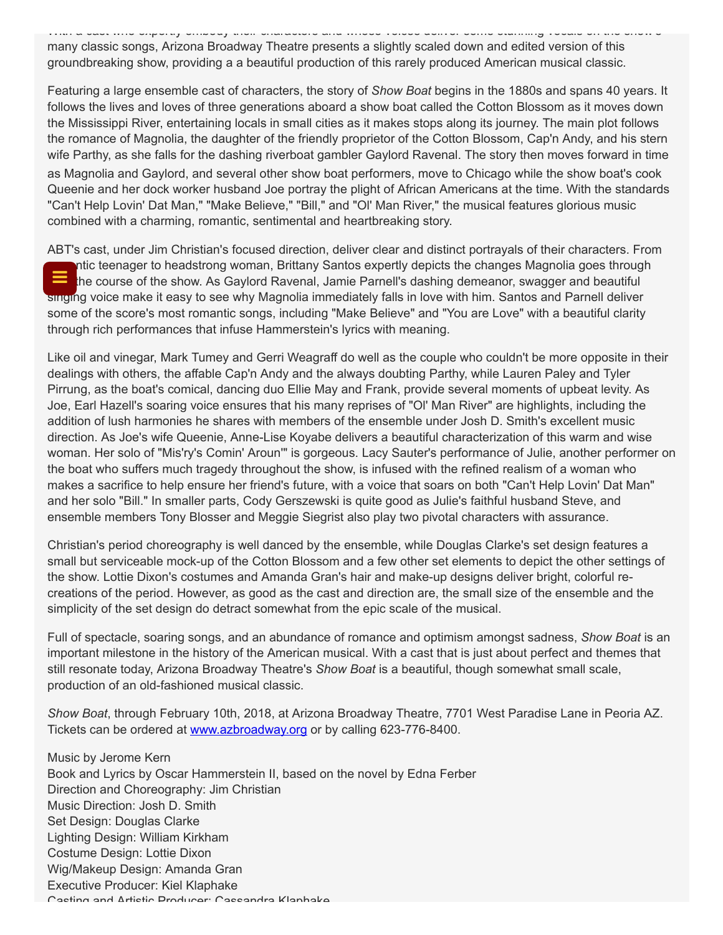With a cast who expertly embody their characters and whose voices deliver some stunning vocals on the show s many classic songs, Arizona Broadway Theatre presents a slightly scaled down and edited version of this groundbreaking show, providing a a beautiful production of this rarely produced American musical classic.

Featuring a large ensemble cast of characters, the story of Show Boat begins in the 1880s and spans 40 years. It follows the lives and loves of three generations aboard a show boat called the Cotton Blossom as it moves down the Mississippi River, entertaining locals in small cities as it makes stops along its journey. The main plot follows the romance of Magnolia, the daughter of the friendly proprietor of the Cotton Blossom, Cap'n Andy, and his stern wife Parthy, as she falls for the dashing riverboat gambler Gaylord Ravenal. The story then moves forward in time as Magnolia and Gaylord, and several other show boat performers, move to Chicago while the show boat's cook Queenie and her dock worker husband Joe portray the plight of African Americans at the time. With the standards "Can't Help Lovin' Dat Man," "Make Believe," "Bill," and "Ol' Man River," the musical features glorious music combined with a charming, romantic, sentimental and heartbreaking story.

ABT's cast, under Jim Christian's focused direction, deliver clear and distinct portrayals of their characters. From ntic teenager to headstrong woman, Brittany Santos expertly depicts the changes Magnolia goes through the course of the show. As Gaylord Ravenal, Jamie Parnell's dashing demeanor, swagger and beautiful singing voice make it easy to see why Magnolia immediately falls in love with him. Santos and Parnell deliver some of the score's most romantic songs, including "Make Believe" and "You are Love" with a beautiful clarity through rich performances that infuse Hammerstein's lyrics with meaning. ≡

Like oil and vinegar, Mark Tumey and Gerri Weagraff do well as the couple who couldn't be more opposite in their dealings with others, the affable Cap'n Andy and the always doubting Parthy, while Lauren Paley and Tyler Pirrung, as the boat's comical, dancing duo Ellie May and Frank, provide several moments of upbeat levity. As Joe, Earl Hazell's soaring voice ensures that his many reprises of "Ol' Man River" are highlights, including the addition of lush harmonies he shares with members of the ensemble under Josh D. Smith's excellent music direction. As Joe's wife Queenie, Anne-Lise Koyabe delivers a beautiful characterization of this warm and wise woman. Her solo of "Mis'ry's Comin' Aroun'" is gorgeous. Lacy Sauter's performance of Julie, another performer on the boat who suffers much tragedy throughout the show, is infused with the refined realism of a woman who makes a sacrifice to help ensure her friend's future, with a voice that soars on both "Can't Help Lovin' Dat Man" and her solo "Bill." In smaller parts, Cody Gerszewski is quite good as Julie's faithful husband Steve, and ensemble members Tony Blosser and Meggie Siegrist also play two pivotal characters with assurance.

Christian's period choreography is well danced by the ensemble, while Douglas Clarke's set design features a small but serviceable mock-up of the Cotton Blossom and a few other set elements to depict the other settings of the show. Lottie Dixon's costumes and Amanda Gran's hair and make-up designs deliver bright, colorful recreations of the period. However, as good as the cast and direction are, the small size of the ensemble and the simplicity of the set design do detract somewhat from the epic scale of the musical.

Full of spectacle, soaring songs, and an abundance of romance and optimism amongst sadness, Show Boat is an important milestone in the history of the American musical. With a cast that is just about perfect and themes that still resonate today, Arizona Broadway Theatre's Show Boat is a beautiful, though somewhat small scale, production of an old-fashioned musical classic.

Show Boat, through February 10th, 2018, at Arizona Broadway Theatre, 7701 West Paradise Lane in Peoria AZ. Tickets can be ordered at [www.azbroadway.org](http://www.azbroadway.org/) or by calling 623-776-8400.

Music by Jerome Kern Book and Lyrics by Oscar Hammerstein II, based on the novel by Edna Ferber Direction and Choreography: Jim Christian Music Direction: Josh D. Smith Set Design: Douglas Clarke Lighting Design: William Kirkham Costume Design: Lottie Dixon Wig/Makeup Design: Amanda Gran Executive Producer: Kiel Klaphake Casting and Artistic Producer: Cassandra Klaphake